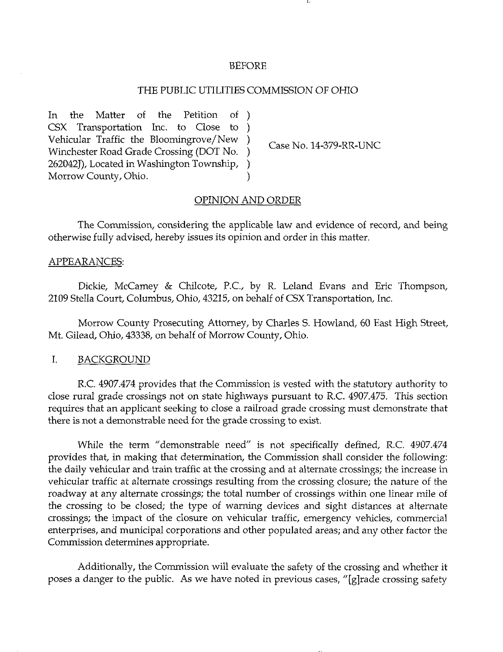#### BEFORE

## THE PUBLIC UTILITIES COMMISSION OF OHIO

In the Matter of the Petition of CSX Transportation Inc. to Close to € Vehicular Traffic the Bloomingrove/New Winchester Road Grade Crossing (DOT No. 262042J), Located in Washington Township, Morrow County, Ohio.

Case No. 14-379-RR-UNC

### OPINION AND ORDER

The Commission, considering the applicable law and evidence of record, and being otherwise fully advised, hereby issues its opinion and order in this matter.

#### APPEARANCES:

Dickie, McCamey & Chilcote, P.C, by R. Leland Evans and Eric Thompson, 2109 Stella Court, Columbus, Ohio, 43215, on behalf of CSX Transportation, Inc.

Morrow County Prosecuting Attorney, by Charles S. Howland, 60 East High Street, Mt. Gilead, Ohio, 43338, on behalf of Morrow County, Ohio.

## I. BACKGROUND

R.C. 4907.474 provides that the Commission is vested with the statutory authority to close rural grade crossings not on state highways pursuant to R.C 4907.475. This section requires that an applicant seeking to close a railroad grade crossing must demonstrate that there is not a demonstrable need for the grade crossing to exist.

While the term "demonstrable need" is not specifically defined, R.C. 4907.474 provides that, in making that determination, the Commission shall consider the following: the daily vehicular and train traffic at the crossing and at alternate crossings; the increase in vehicular traffic at alternate crossings resulting from the crossing closure; the nature of the roadway at any alternate crossings; the total number of crossings within one linear mile of the crossing to be closed; the type of warning devices and sight distances at alternate crossings; the impact of the closure on vehicular traffic, emergency vehicles, commercial enterprises, and municipal corporations and other populated areas; and any other factor the Commission determines appropriate.

Additionally, the Commission will evaluate the safety of the crossing and whether it poses a danger to the public. As we have noted in previous cases, "[gjrade crossing safety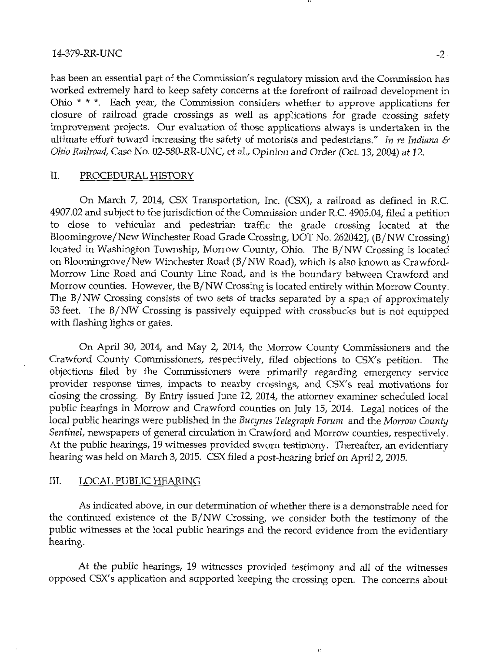has been an essential part of the Commission's regulatory mission and the Commission has worked extremely hard to keep safety concerns at the forefront of railroad development in Ohio \* \* \*. Each year, the Commission considers whether to approve applications for closure of railroad grade crossings as well as applications for grade crossing safety improvement projects. Our evaluation of those applications always is undertaken in the ultimate effort toward increasing the safety of motorists and pedestrians." In re Indiana  $\mathcal{E}$ Ohio Railroad, Case No. 02-580-RR-UNC, et al.. Opinion and Order (Oct. 13, 2004) at 12.

## II. PROCEDURAL HISTORY

On March 7, 2014, CSX Transportation, Inc. (CSX), a railroad as detined in R.C. 4907.02 and subject to the jurisdiction of the Commission under R.C. 4905.04, filed a petition to close to vehicular and pedestrian traffic the grade crossing located at the Bloomingrove/New Winchester Road Grade Crossing, DOT No. 262042J, (B/NW Crossing) located in Washington Township, Morrow County, Ohio. The B/NW Crossing is located on Bloomingrove/New Winchester Road (B/NW Road), which is also known as Crawford-Morrow Line Road and County Line Road, and is the boundary between Crawford and Morrow counties. However, the B/NW Crossing is located entirely within Morrow County. The B/NW Crossing consists of two sets of tracks separated by a span of approximately 53 feet. The B/NW Crossing is passively equipped with crossbucks but is not equipped with flashing lights or gates.

On April 30, 2014, and May 2, 2014, the Morrow County Commissioners and the Crawford County Commissioners, respectively, filed objections to CSX's petition. The objections filed by the Commissioners were primarily regarding emergency service provider response times, impacts to nearby crossings, and CSX's real motivations for closing the crossing. By Entry issued June 12, 2014, the attorney examiner scheduled local public hearings in Morrow and Crawford counties on July 15, 2014. Legal notices of the local public hearings were published in the Bucyrus Telegraph Forum and the Morrow County Sentinel, newspapers of general circulation in Crawford and Morrow counties, respectively. At the public hearings, 19 witnesses provided sworn testimony. Thereafter, an evidentiary hearing was held on March 3, 2015. CSX tiled a post-hearing brief on April 2, 2015.

### III. LOCAL PUBLIC HEARING

As indicated above, in our determination of whether there is a demonstrable need for the continued existence of the B/NW Crossing, we consider both the testimony of the public witnesses at the local public hearings and the record evidence from the evidentiary hearing.

At the public hearings, 19 witnesses provided testimony and all of the witnesses opposed CSX's application and supported keeping the crossing open. The concerns about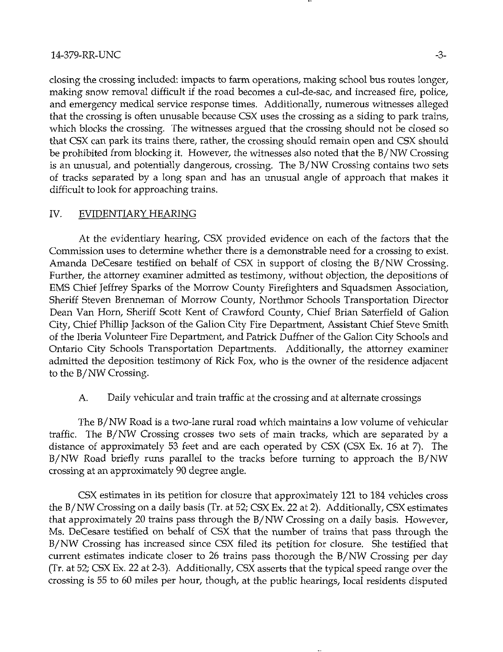## 14-379-RR-UNC -3-

closing the crossing included: impacts to farm operations, making school bus routes longer, making snow removal difficult if the road becomes a cul-de-sac, and increased fire, police, and emergency medical service response times. Additionally, numerous witnesses alleged that the crossing is often unusable because CSX uses the crossing as a siding to park trains, which blocks the crossing. The witnesses argued that the crossing should not be closed so that CSX can park its trains there, rather, the crossing should remain open and CSX should be prohibited from blocking it. However, the witnesses also noted that the B/NW Crossing is an unusual, and potentially dangerous, crossing. The B/NW Crossing contains two sets of tracks separated by a long span and has an unusual angle of approach that makes it difficult to look for approaching trains.

## IV. EVIDENTIARY HEARING

At the evidentiary hearing, CSX provided evidence on each of the factors that the Commission uses to determine whether there is a demonstrable need for a crossing to exist. Amanda DeCesare testified on behalf of CSX in support of closing the B/NW Crossing. Further, the attorney examiner admitted as testimony, without objection, the depositions of EMS Chief Jeffrey Sparks of the Morrow County Firefighters and Squadsmen Association, Sheriff Steven Brenneman of Morrow County, Northmor Schools Transportation Director Dean Van Horn, Sheriff Scott Kent of Crawford County, Chief Brian Saterfield of Gallon City, Chief Phillip Jackson of the Gallon City Fire Department, Assistant Chief Steve Smith of the Iberia Volunteer Fire Department, and Patrick Duffner of the Gallon City Schools and Ontario City Schools Transportation Departments. Additionally, the attorney examiner admitted the deposition testimony of Rick Fox, who is the owner of the residence adjacent to the B/NW Crossing.

## A. Daily vehicular and train traffic at the crossing and at alternate crossings

The B/NW Road is a two-lane rural road which maintains a low volume of vehicular traffic. The B/NW Crossing crosses two sets of main tracks, which are separated by a distance of approximately 53 feet and are each operated by CSX (CSX Ex. 16 at 7). The B/NW Road briefly runs parallel to the tracks before turning to approach the B/NW crossing at an approximately 90 degree angle.

CSX estimates in its petition for closure that approximately 121 to 184 vehicles cross the B/NW Crossing on a daily basis (Tr. at 52; CSX Ex. 22 at 2). Additionally, CSX estimates that approximately 20 trains pass through the B/NW Crossing on a daily basis. However, Ms. DeCesare testified on behalf of CSX that the number of trains that pass through the B/NW Crossing has increased since CSX filed its petition for closure. She testified that current estimates indicate closer to 26 trains pass thorough the B/NW Crossing per day (Tr. at 52; CSX Ex. 22 at 2-3). Additionally, CSX asserts that the typical speed range over the crossing is 55 to 60 miles per hour, though, at the public hearings, local residents disputed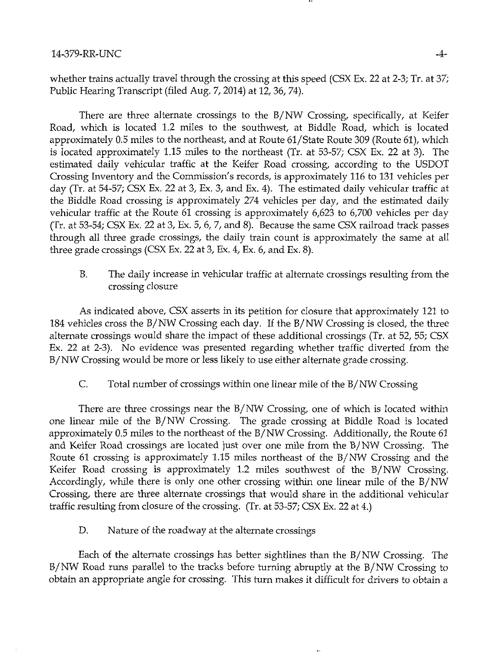whether trains actually travel through the crossing at this speed (CSX Ex. 22 at 2-3; Tr. at 37; Public Hearing Transcript (filed Aug. 7, 2014) at 12, 36, 74).

There are three alternate crossings to the B/NW Crossing, specifically, at Keifer Road, which is located 1.2 miles to the southwest, at Biddle Road, which is located approximately 0.5 miles to the northeast, and at Route 61/State Route 309 (Route 61), which is located approximately 1.15 miles to the northeast (Tr. at 53-57; CSX Ex. 22 at 3). The estimated daily vehicular traffic at the Keifer Road crossing, according to the USDOT Crossing Inventory and the Commission's records, is approximately 116 to 131 vehicles per day (Tr. at 54-57; CSX Ex. 22 at 3, Ex. 3, and Ex. 4). The estimated daily vehicular traffic at the Biddle Road crossing is approximately 274 vehicles per day, and the estimated daily vehicular traffic at the Route 61 crossing is approximately 6,623 to 6,700 vehicles per day (Tr. at 53-54; CSX Ex. 22 at 3, Ex. 5, 6, 7, and 8). Because the same CSX railroad track passes through all three grade crossings, the daily train count is approximately the same at all three grade crossings (CSX Ex. 22 at 3, Ex. 4, Ex. 6, and Ex. 8).

B. The daily increase in vehicular traffic at alternate crossings resulting from the crossing closure

As indicated above, CSX asserts in its petition for closure that approximately 121 to 184 vehicles cross the B/NW Crossing each day. If the B/NW Crossing is closed, the three alternate crossings would share the impact of these additional crossings (Tr. at 52, 55; CSX Ex. 22 at 2-3). No evidence was presented regarding whether traffic diverted from the B/NW Crossing would be more or less likely to use either alternate grade crossing.

C. Total number of crossings within one linear mile of the B/NW Crossing

There are three crossings near the B/NW Crossing, one of which is located within one linear mile of the B/NW Crossing. The grade crossing at Biddle Road is located approximately 0.5 miles to the northeast of the B/NW Crossing. Additionally, the Route 61 and Keifer Road crossings are located just over one mile from the B/NW Crossing. The Route 61 crossing is approximately 1.15 miles northeast of the B/NW Crossing and the Keifer Road crossing is approximately 1.2 miles southwest of the B/NW Crossing. Accordingly, while there is only one other crossing within one linear mile of the B/NW Crossing, there are three alternate crossings that would share in the additional vehicular traffic resulting from closure of the crossing. (Tr. at 53-57; CSX Ex. 22 at 4.)

D. Nature of the roadway at the alternate crossings

Each of the alternate crossings has better sightlines than the B/NW Crossing. The B/NW Road runs parallel to the tracks before turning abruptly at the B/NW Crossing to obtain an appropriate angle for crossing. This turn makes it difficult for drivers to obtain a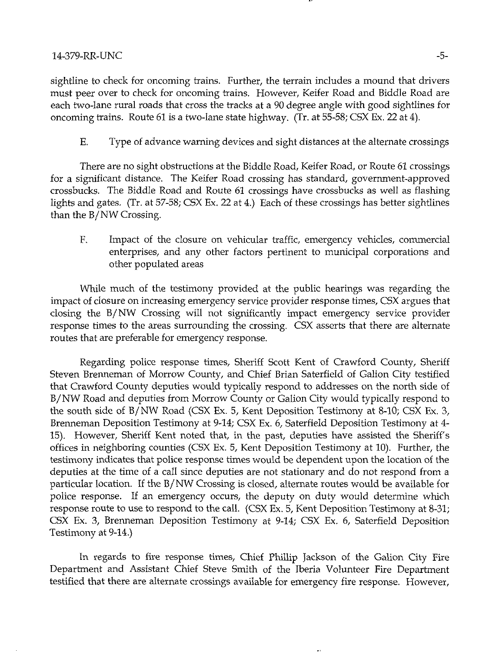sightline to check for oncoming trains. Further, the terrain includes a mound that drivers must peer over to check for oncoming trains. However, Keifer Road and Biddle Road are each two-lane rural roads that cross the tracks at a 90 degree angle with good sightlines for oncoming trains. Route 61 is a two-lane state highway. (Tr. at 55-58; CSX Ex. 22 at 4).

E. Type of advance warning devices and sight distances at the alternate crossings

There are no sight obstructions at the Biddle Road, Keifer Road, or Route 61 crossings for a significant distance. The Keifer Road crossing has standard, government-approved crossbucks. The Biddle Road and Route 61 crossings have crossbucks as well as flashing lights and gates. (Tr. at 57-58; CSX Ex. 22 at 4.) Each of these crossings has better sightlines than the B/NW Crossing.

F, Impact of the closure on vehicular traffic, emergency vehicles, commercial enterprises, and any other factors pertinent to municipal corporations and other populated areas

While much of the testimony provided at the public hearings was regarding the impact of closure on increasing emergency service provider response times, CSX argues that closing the B/NW Crossing will not significantly impact emergency service provider response times to the areas surrounding the crossing. CSX asserts that there are alternate routes that are preferable for emergency response.

Regarding police response times. Sheriff Scott Kent of Crawford County, Sheriff Steven Brenneman of Morrow County, and Chief Brian Saterfield of Gallon City testified that Crawford County deputies would typically respond to addresses on the north side of B/NW Road and deputies from Morrow County or Gallon City would typically respond to the south side of B/NW Road (CSX Ex. 5, Kent Deposition Testimony at 8-10; CSX Ex. 3, Brenneman Deposition Testimony at 9-14; CSX Ex. 6, Saterfield Deposition Testimony at 4- 15). However, Sheriff Kent noted that, in the past, deputies have assisted the Sheriff's offices in neighboring counties (CSX Ex. 5, Kent Deposition Testimony at 10). Further, the testimony indicates that police response times would be dependent upon the location of the deputies at the time of a call since deputies are not stationary and do not respond from a particular location. If the B/NW Crossing is closed, alternate routes would be available for police response. If an emergency occurs, the deputy on duty would determine which response route to use to respond to the call. (CSX Ex. 5, Kent Deposition Testimony at 8-31; CSX Ex. 3, Brenneman Deposition Testimony at 9-14; CSX Ex. 6, Saterfield Deposition Testimony at 9-14.)

In regards to fire response times. Chief Phillip Jackson of the Gallon City Fire Department and Assistant Chief Steve Smith of the Iberia Volunteer Fire Department testified that there are alternate crossings available for emergency fire response. However,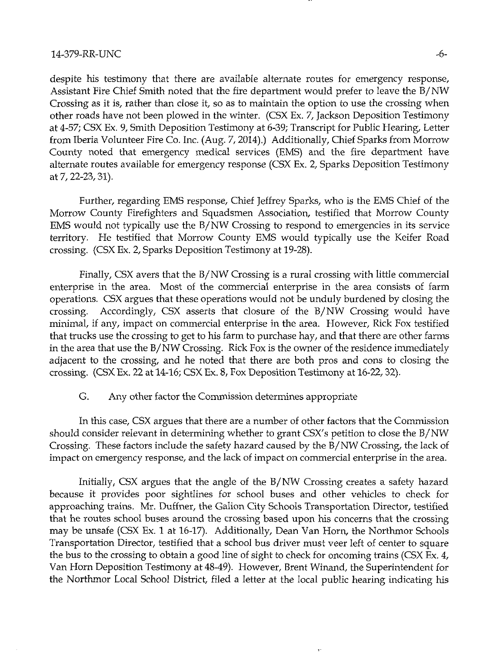#### 14-379-RR-UNC -6-

despite his testimony that there are available alternate routes for emergency response. Assistant Fire Chief Smith noted that the fire department would prefer to leave the B/ NW Crossing as it is, rather than close it, so as to maintain the option to use the crossing when other roads have not been plowed in the winter. (CSX Ex. 7, Jackson Deposition Testimony at 4-57; CSX Ex. 9, Smith Deposition Testimony at 6-39; Transcript for Public Hearing, Letter from Iberia Volunteer Fire Co. Inc. (Aug. 7, 2014).) Additionally, Chief Sparks from Morrow County noted that emergency medical services (EMS) and the fire department have alternate routes available for emergency response (CSX Ex. 2, Sparks Deposition Testimony at 7,22-23,31).

Further, regarding EMS response. Chief Jeffrey Sparks, who is the EMS Chief of the Morrow County Firefighters and Squadsmen Association, testified that Morrow County EMS would not typically use the B/NW Crossing to respond to emergencies in its service territory. He testified that Morrow County EMS would typically use the Keifer Road crossing. (CSX Ex. 2, Sparks Deposition Testimony at 19-28).

Finally, CSX avers that the B/NW Crossing is a rural crossing with little commercial enterprise in the area. Most of the commercial enterprise in the area consists of farm operations. CSX argues that these operations would not be unduly burdened by closing the crossing. Accordingly, CSX asserts that closure of the B/NW Crossing would have minimal, if any, impact on commercial enterprise in the area. However, Rick Fox testified that trucks use the crossing to get to his farm to purchase hay, and that there are other farms in the area that use the B/NW Crossing. Rick Fox is the owner of the residence immediately adjacent to the crossing, and he noted that there are both pros and cons to closing the crossing. (CSX Ex. 22 at 14-16; CSX Ex. 8, Fox Deposition Testimony at 16-22,32).

## G. Any other factor the Commission determines appropriate

In this case, CSX argues that there are a number of other factors that the Commission should consider relevant in determining whether to grant CSX's petition to close the B/NW Crossing. These factors include the safety hazard caused by the B/NW Crossing, the lack of impact on emergency response, and the lack of impact on commercial enterprise in the area.

Initially, CSX argues that the angle of the B/NW Crossing creates a safety hazard because it provides poor sightlines for school buses and other vehicles to check for approaching trains. Mr. Duffner, the Gallon City Schools Transportation Director, testified that he routes school buses around the crossing based upon his concerns that the crossing may be unsafe (CSX Ex. 1 at 16-17). Additionally, Dean Van Horn, the Northmor Schools Transportation Director, testified that a school bus driver must veer left of center to square the bus to the crossing to obtain a good line of sight to check for oncoming trains (CSX Ex. 4, Van Horn Deposition Testimony at 48-49). However, Brent Winand, the Superintendent for the Northmor Local School District, filed a letter at the local public hearing indicating his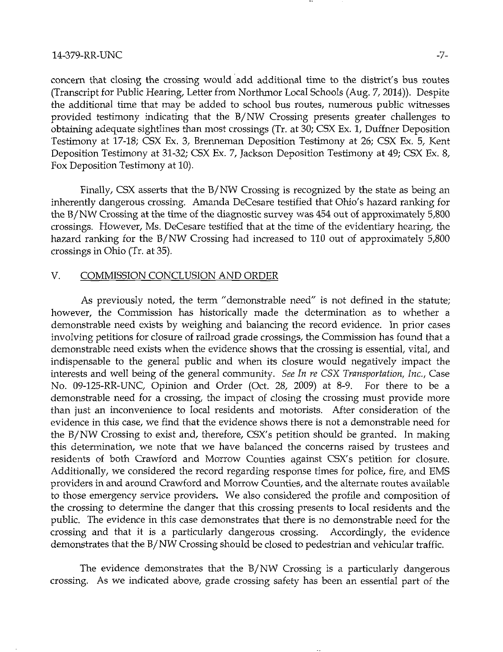### 14-379~RR-UNC -7-

concern that closing the crossing would add additional time to the district's bus routes (Transcript for Public Hearing, Letter from Northmor Local Schools (Aug. 7, 2014)). Despite the additional time that may be added to school bus routes, numerous public witnesses provided testimony indicating that the B/NW Crossing presents greater challenges to obtaining adequate sightlines than most crossings (Tr. at 30; CSX Ex. 1, Duffner Deposition Testimony at 17-18; CSX Ex. 3, Brenneman Deposition Testimony at 26; CSX Ex. 5, Kent Deposition Testimony at 31-32; CSX Ex. 7, Jackson Deposition Testimony at 49; CSX Ex. 8, Fox Deposition Testimony at 10).

Finally, CSX asserts that the B/NW Crossing is recognized by the state as being an inherently dangerous crossing. Amanda DeCesare testified that Ohio's hazard ranking for the B/NW Crossing at the time of the diagnostic survey was 454 out of approximately 5,800 crossings. However, Ms. DeCesare testified that at the time of the evidentiary hearing, the hazard ranking for the B/NW Crossing had increased to 110 out of approximately 5,800 crossings in Ohio (Tr. at 35).

### V. COMMISSION CONCLUSION AND ORDER

As previously noted, the term "demonstrable need" is not defined in the statute; however, the Commission has historically made the determination as to whether a demonstrable need exists by weighing and balancing the record evidence. In prior cases involving petitions for closure of railroad grade crossings, the Commission has found that a demonstrable need exists when the evidence shows that the crossing is essential, vital, and indispensable to the general public and when its closure would negatively impact the interests and well being of the general community. See In re CSX Transportation, Inc., Case No. 09-125-RR-UNC, Opinion and Order (Oct. 28, 2009) at 8-9. For there to be a demonstrable need for a crossing, the impact of closing the crossing must provide more than just an inconvenience to local residents and motorists. After consideration of the evidence in this case, we find that the evidence shows there is not a demonstrable need for the B/NW Crossing to exist and, therefore, CSX's petition should be granted. In making this determination, we note that we have balanced the concerns raised by trustees and residents of both Crawford and Morrow Counties against CSX's petition for closure. Additionally, we considered the record regarding response times for police, fire, and EMS providers in and around Crawford and Morrow Counties, and the alternate routes available to those emergency service providers. We also considered the profile and composition of the crossing to determine the danger that this crossing presents to local residents and the public. The evidence in this case demonstrates that there is no demonstrable need for the crossing and that it is a particularly dangerous crossing. Accordingly, the evidence demonstrates that the B/NW Crossing should be closed to pedestrian and vehicular traffic.

The evidence demonstrates that the B/NW Crossing is a particularly dangerous crossing. As we indicated above, grade crossing safety has been an essential part of the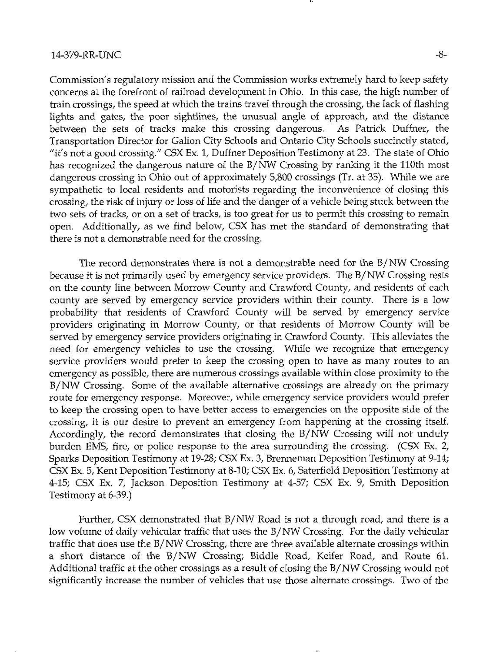Commission's regulatory mission and the Commission works extremely hard to keep safety concerns at the forefront of railroad development in Ohio. In this case, the high number of train crossings, the speed at which the trains travel through the crossing, the lack of flashing lights and gates, the poor sightlines, the unusual angle of approach, and the distance between the sets of tracks make this crossing dangerous. As Patrick Duffner, the Transportation Director for Gallon City Schools and Ontario City Schools succinctly stated, "it's not a good crossing." CSX Ex. 1, Duffner Deposition Testimony at 23. The state of Ohio has recognized the dangerous nature of the B/NW Crossing by ranking it the 110th most dangerous crossing in Ohio out of approximately 5,800 crossings (Tr. at 35). While we are sympathetic to local residents and motorists regarding the inconvenience of closing this crossing, the risk of injury or loss of life and the danger of a vehicle being stuck between the two sets of tracks, or on a set of tracks, is too great for us to permit this crossing to remain open. Additionally, as we find below, CSX has met the standard of demonstrating that there is not a demonstrable need for the crossing.

The record demonstrates there is not a demonstrable need for the B/NW Crossing because it is not primarily used by emergency service providers. The B/NW Crossing rests on the county line between Morrow County and Crawford County, and residents of each county are served by emergency service providers within their county. There is a low probability that residents of Crawford County will be served by emergency service providers originating in Morrow County, or that residents of Morrow County will be served by emergency service providers originating in Crawford County. This alleviates the need for emergency vehicles to use the crossing. While we recognize that emergency service providers would prefer to keep the crossing open to have as many routes to an emergency as possible, there are numerous crossings available within close proximity to the B/NW Crossing. Some of the available alternative crossings are already on the primary route for emergency response. Moreover, while emergency service providers would prefer to keep the crossing open to have better access to emergencies on the opposite side of the crossing, it is our desire to prevent an emergency from happening at the crossing itself. Accordingly, the record demonstrates that closing the B/NW Crossing will not unduly burden EMS, fire, or police response to the area surrounding the crossing. (CSX Ex. 2, Sparks Deposition Testimony at 19-28; CSX Ex. 3, Brermeman Deposition Testimony at 9-14; CSX Ex. 5, Kent Deposition Testimony at 8-10; CSX Ex. 6, Saterfield Deposition Testimony at 4-15; CSX Ex. 7, Jackson Deposition Testimony at 4-57; CSX Ex. 9, Smith Deposition Testimony at 6-39.)

Further, CSX demonstrated that B/NW Road is not a through road, and there is a low volume of daily vehicular traffic that uses the B/NW Crossing. For the daily vehicular traffic that does use the B/NW Crossing, there are three available alternate crossings within a short distance of the B/NW Crossing; Biddle Road, Keifer Road, and Route 61. Additional traffic at the other crossings as a result of closing the B/NW Crossing would not significantly increase the number of vehicles that use those alternate crossings. Two of the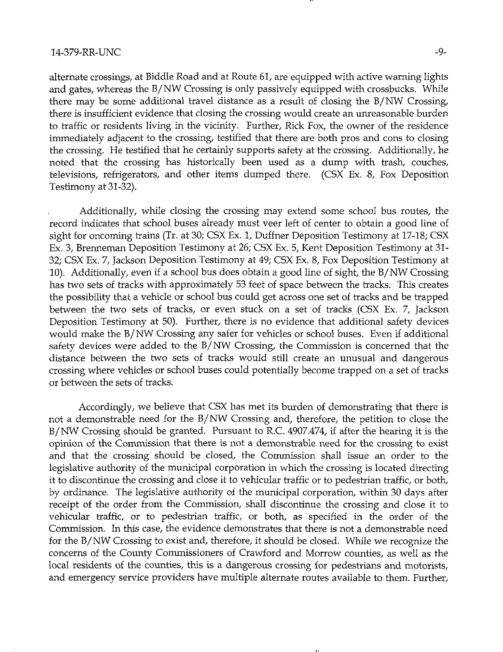alternate crossings, at Biddle Road and at Route 61, are equipped with active warning lights and gates, whereas the B/NW Crossing is only passively equipped with crossbucks. While there may be some additional travel distance as a result of closing the B/NW Crossing, there is insufficient evidence that closing the crossing would create an unreasonable burden to traffic or residents living in the vicinity. Further, Rick Fox, the owner of the residence immediately adjacent to the crossing, testified that there are both pros and cons to closing the crossing. He testified that he certainly supports safety at the crossing. Additionally, he noted that the crossing has historically been used as a dump with trash, couches, televisions, refrigerators, and other items dumped there. (CSX Ex. 8, Fox Deposition Testimony at 31-32).

, Additionally, while closing the crossing may extend some school bus routes, the record indicates that school buses already must veer left of center to obtain a good line of sight for oncoming trains (Tr. at 30; CSX Ex. 1, Duffner Deposition Testimony at 17-18; CSX Ex. 3, Brenneman Deposition Testimony at 26; CSX Ex. 5, Kent Deposition Testimony at 31- 32; CSX Ex. 7, Jackson Deposition Testimony at 49; CSX Ex. 8, Fox Deposition Testimony at 10). Additionally, even if a school bus does obtain a good line of sight, the B/NW Crossing has two sets of tracks with approximately 53 feet of space between the tracks. This creates the possibility that a vehicle or school bus could get across one set of tracks and be trapped between the two sets of tracks, or even stuck on a set of tracks (CSX Ex. 7, Jackson Deposition Testimony at 50). Further, there is no evidence that additional safety devices would make the B/NW Crossing any safer for vehicles or school buses. Even if additional safety devices were added to the B/NW Crossing, the Commission is concerned that the distance between the two sets of tracks would still create an unusual and dangerous crossing where vehicles or school buses could potentially become trapped on a set of tracks or between the sets of tracks.

Accordingly, we believe that CSX has met its burden of demonstrating that there is not a demonstrable need for the B/NW Crossing and, therefore, the petition to close the B/NW Crossing should be granted. Pursuant to R.C. 4907.474, if after the hearing it is the opiruon of the Commission that there is not a demonstrable need for the crossing to exist and that the crossing should be closed, the Commission shall issue an order to the legislative authority of the municipal corporation in which the crossing is located directing it to discontinue the crossing and close it to vehicular traffic or to pedestrian traffic, or both, by ordinance. The legislative authority of the municipal corporation, within 30 days after receipt of the order from the Commission, shall discontinue the crossing and close it to vehicular traffic, or to pedestrian traffic, or both, as specified in the order of the Commission. In this case, the evidence demonstrates that there is not a demonstrable need for the B/NW Crossing to exist and, therefore, it should be closed. While we recognize the concerns of the County Commissioners of Crawford and Morrow counties, as well as the local residents of the counties, this is a dangerous crossing for pedestrians and motorists, and emergency service providers have multiple alternate routes available to them. Further,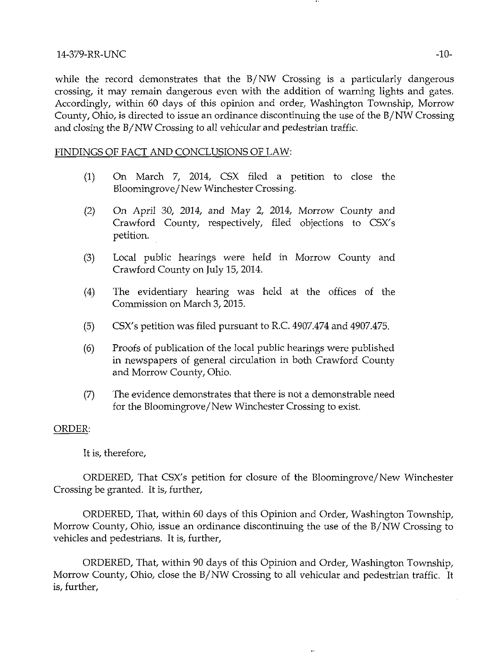## 14-379-RR-UNC -10-

while the record demonstrates that the B/NW Crossing is a particularly dangerous crossing, it may remain dangerous even with the addition of warning lights and gates. Accordingly, within 60 days of this opinion and order, Washington Township, Morrow County, Ohio, is directed to issue an ordinance discontinuing the use of the B/NW Crossing and closing the B/NW Crossing to all vehicular and pedestrian traffic.

## FINDINGS OF FACT AND CONCLUSIONS OF LAW:

- (1) On March 7, 2014, CSX filed a petition to close the Bloomingrove/New Winchester Crossing.
- (2) On April 30, 2014, and May 2, 2014, Morrow County and Crawford County, respectively, filed objections to CSX's petition.
- (3) Local public hearings were held in Morrow County and Crawford County on July 15, 2014.
- (4) The evidentiary hearing was held at the offices of the Commission on March 3, 2015.
- (5) CSX's petition was tiled pursuant to R.C. 4907.474 and 4907.475.
- (6) Proofs of publication of the local public hearings were published in newspapers of general circulation in both Crawford County and Morrow County, Ohio.
- (7) The evidence demonstrates that there is not a demonstrable need for the Bloomingrove/New Winchester Crossing to exist.

# ORDER:

# It is, therefore,

ORDERED, That CSX's petition for closure of the Bloomingrove/New Winchester Crossing be granted. It is, further,

ORDERED, That, within 60 days of this Opinion and Order, Washington Township, Morrow County, Ohio, issue an ordinance discontinuing the use of the B/NW Crossing to vehicles and pedestrians. It is, further,

ORDERED, That, within 90 days of this Opinion and Order, Washington Township, Morrow County, Ohio, close the B/NW Crossing to all vehicular and pedestrian traffic. It is, further.